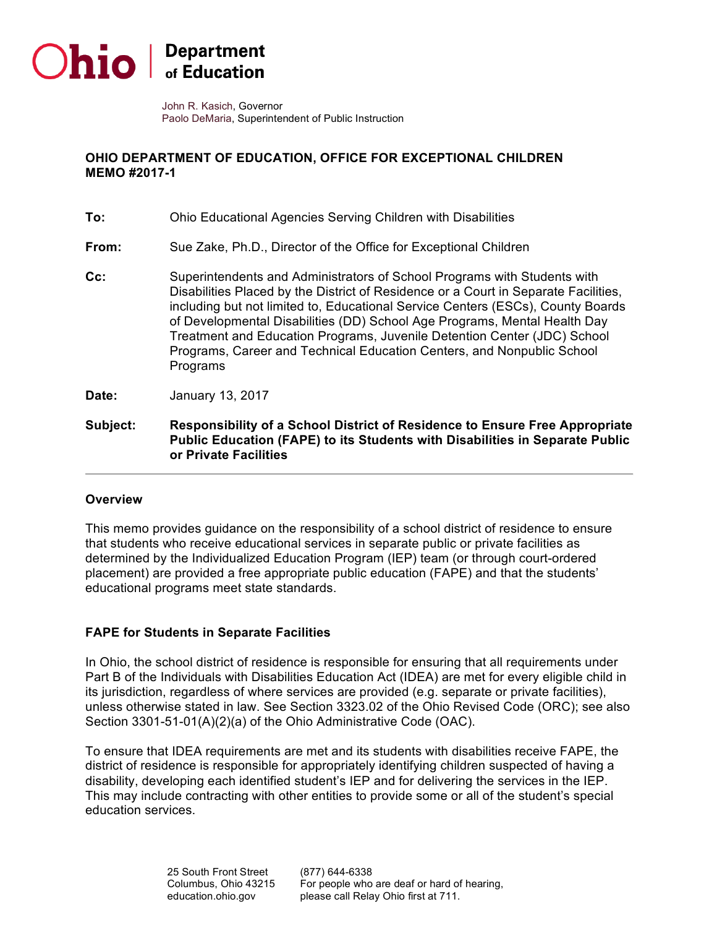

 John R. Kasich, Governor Paolo DeMaria, Superintendent of Public Instruction

## **OHIO DEPARTMENT OF EDUCATION, OFFICE FOR EXCEPTIONAL CHILDREN MEMO #2017-1**

| Subject: | Responsibility of a School District of Residence to Ensure Free Appropriate<br>Public Education (FAPE) to its Students with Disabilities in Separate Public<br>or Private Facilities                                                                                                                                                                                                                                                                                                              |
|----------|---------------------------------------------------------------------------------------------------------------------------------------------------------------------------------------------------------------------------------------------------------------------------------------------------------------------------------------------------------------------------------------------------------------------------------------------------------------------------------------------------|
| Date:    | January 13, 2017                                                                                                                                                                                                                                                                                                                                                                                                                                                                                  |
| Cc:      | Superintendents and Administrators of School Programs with Students with<br>Disabilities Placed by the District of Residence or a Court in Separate Facilities,<br>including but not limited to, Educational Service Centers (ESCs), County Boards<br>of Developmental Disabilities (DD) School Age Programs, Mental Health Day<br>Treatment and Education Programs, Juvenile Detention Center (JDC) School<br>Programs, Career and Technical Education Centers, and Nonpublic School<br>Programs |
| From:    | Sue Zake, Ph.D., Director of the Office for Exceptional Children                                                                                                                                                                                                                                                                                                                                                                                                                                  |
| To:      | Ohio Educational Agencies Serving Children with Disabilities                                                                                                                                                                                                                                                                                                                                                                                                                                      |

## **Overview**

 This memo provides guidance on the responsibility of a school district of residence to ensure determined by the Individualized Education Program (IEP) team (or through court-ordered placement) are provided a free appropriate public education (FAPE) and that the students' educational programs meet state standards. that students who receive educational services in separate public or private facilities as

## **FAPE for Students in Separate Facilities**

 In Ohio, the school district of residence is responsible for ensuring that all requirements under Part B of the Individuals with Disabilities Education Act (IDEA) are met for every eligible child in its jurisdiction, regardless of where services are provided (e.g. separate or private facilities), unless otherwise stated in law. See Section 3323.02 of the Ohio Revised Code (ORC); see also Section 3301-51-01(A)(2)(a) of the Ohio Administrative Code (OAC).

 To ensure that IDEA requirements are met and its students with disabilities receive FAPE, the district of residence is responsible for appropriately identifying children suspected of having a disability, developing each identified student's IEP and for delivering the services in the IEP. This may include contracting with other entities to provide some or all of the student's special education services.

> Columbus, Ohio 43215 25 South Front Street (877) 644-6338

 education.ohio.gov please call Relay Ohio first at 711. For people who are deaf or hard of hearing,